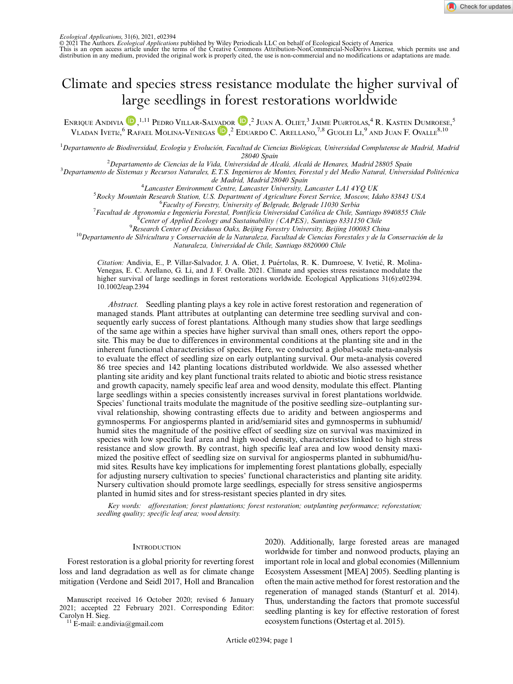

© 2021 The Authors. *Ecological Applications* published by Wiley Periodicals LLC on behalf of Ecological Society of America<br>This is an open access article under the terms of the Creative Commons Attribution-NonCommercial-N

# Climate and species stress resistance modulate the higher survival of large seedlings in forest restorations worldwide

EN[R](https://orcid.org/0000-0001-9338-4530)IQUE ANDIVIA <sup>(D)</sup>, <sup>1,11</sup> Pedro Villar-Salvador (D), <sup>2</sup> Juan A. Oliet, <sup>3</sup> Jaime Pu@rtolas, <sup>4</sup> R. Kasten Dumroese, <sup>5</sup> VLADAN IVETIć, <sup>[6](https://orcid.org/0000-0002-9096-3294)</sup> RAFAEL MOLINA-VENEGAS <sup>(D)</sup>, <sup>2</sup> EDUARDO C. ARELLANO, <sup>7,8</sup> GUOLEI LI, <sup>9</sup> AND JUAN F. OVALLE<sup>8,10</sup>

<sup>1</sup> Departamento de Biodiversidad, Ecología y Evolución, Facultad de Ciencias Biológicas, Universidad Complutense de Madrid, Madrid 28040 Spain<br><sup>2</sup>Departamento de Ciencias de la Vida, Universidad de Alcalá, Alcalá de Henares, Madrid 28805 Spain

<sup>2</sup>Departamento de Ciencias de la Vida, Universidad de Alcalá, Alcalá de Henares, Madrid 28805 Spain<br><sup>3</sup>Departamento de Sistemas y Recursos Naturales, E.T.S. Ingenieros de Montes, Forestal y del Medio Natural, Universidad

de Madrid, Madrid 28040 Spain<br><sup>4</sup> Lancaster Environment Centre, Lancaster University, I

<sup>4</sup> Lancaster Environment Centre, Lancaster University, Lancaster LA1 4YQ UK<br><sup>5</sup> Bocky Mountain Besearch Station, U.S. Denartment of Agriculture Forest Service, Moscow, Ia

 ${}^5R$ ocky Mountain Research Station, U.S. Department of Agriculture Forest Service, Moscow, Idaho 83843 USA

<sup>6</sup> Faculty of Forestry, University of Belgrade, Belgrade 11030 Serbia

<sup>7</sup> Facultad de Agronomía e Ingeniería Forestal, Pontificia Universidad Católica de Chile, Santiago 8940855 Chile  ${}^8$  Center of Applied Ecology and Sustainability (CAPES), Santiago 8331150 Chile

 $^9$ Research Center of Deciduous Oaks, Beijing Forestry University, Beijing 100083 China

 $^{10}$ Departamento de Silvicultura y Conservación de la Naturaleza, Facultad de Ciencias Forestales y de la Conservación de la Naturaleza, Universidad de Chile, Santiago 8820000 Chile

Citation: Andivia, E., P. Villar-Salvador, J. A. Oliet, J. Puértolas, R. K. Dumroese, V. Ivetić, R. Molina-Venegas, E. C. Arellano, G. Li, and J. F. Ovalle. 2021. Climate and species stress resistance modulate the higher survival of large seedlings in forest restorations worldwide. Ecological Applications 31(6):e02394. [10.1002/eap.2394](info:doi/10.1002/eap.2394)

Abstract. Seedling planting plays a key role in active forest restoration and regeneration of managed stands. Plant attributes at outplanting can determine tree seedling survival and consequently early success of forest plantations. Although many studies show that large seedlings of the same age within a species have higher survival than small ones, others report the opposite. This may be due to differences in environmental conditions at the planting site and in the inherent functional characteristics of species. Here, we conducted a global-scale meta-analysis to evaluate the effect of seedling size on early outplanting survival. Our meta-analysis covered 86 tree species and 142 planting locations distributed worldwide. We also assessed whether planting site aridity and key plant functional traits related to abiotic and biotic stress resistance and growth capacity, namely specific leaf area and wood density, modulate this effect. Planting large seedlings within a species consistently increases survival in forest plantations worldwide. Species' functional traits modulate the magnitude of the positive seedling size–outplanting survival relationship, showing contrasting effects due to aridity and between angiosperms and gymnosperms. For angiosperms planted in arid/semiarid sites and gymnosperms in subhumid/ humid sites the magnitude of the positive effect of seedling size on survival was maximized in species with low specific leaf area and high wood density, characteristics linked to high stress resistance and slow growth. By contrast, high specific leaf area and low wood density maximized the positive effect of seedling size on survival for angiosperms planted in subhumid/humid sites. Results have key implications for implementing forest plantations globally, especially for adjusting nursery cultivation to species' functional characteristics and planting site aridity. Nursery cultivation should promote large seedlings, especially for stress sensitive angiosperms planted in humid sites and for stress-resistant species planted in dry sites.

Key words: afforestation; forest plantations; forest restoration; outplanting performance; reforestation; seedling quality; specific leaf area; wood density.

## **INTRODUCTION**

Forest restoration is a global priority for reverting forest loss and land degradation as well as for climate change mitigation (Verdone and Seidl 2017, Holl and Brancalion

Manuscript received 16 October 2020; revised 6 January 2021; accepted 22 February 2021. Corresponding Editor:

 $11$  E-mail: [e.andivia@gmail.com](mailto:)

2020). Additionally, large forested areas are managed worldwide for timber and nonwood products, playing an important role in local and global economies (Millennium Ecosystem Assessment [MEA] 2005). Seedling planting is often the main active method for forest restoration and the regeneration of managed stands (Stanturf et al. 2014). Thus, understanding the factors that promote successful seedling planting is key for effective restoration of forest ecosystem functions (Ostertag et al. 2015).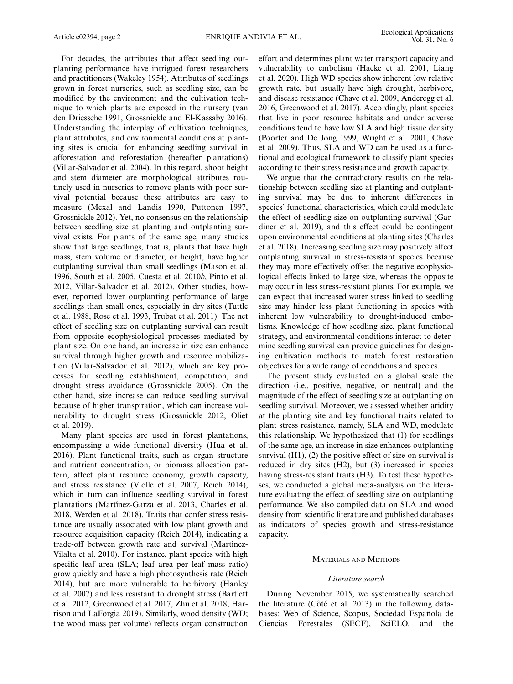For decades, the attributes that affect seedling outplanting performance have intrigued forest researchers and practitioners (Wakeley 1954). Attributes of seedlings grown in forest nurseries, such as seedling size, can be modified by the environment and the cultivation technique to which plants are exposed in the nursery (van den Driessche 1991, Grossnickle and El-Kassaby 2016). Understanding the interplay of cultivation techniques, plant attributes, and environmental conditions at planting sites is crucial for enhancing seedling survival in afforestation and reforestation (hereafter plantations) (Villar-Salvador et al. 2004). In this regard, shoot height and stem diameter are morphological attributes routinely used in nurseries to remove plants with poor survival potential because these attributes are easy to measure (Mexal and Landis 1990, Puttonen 1997, Grossnickle 2012). Yet, no consensus on the relationship between seedling size at planting and outplanting survival exists. For plants of the same age, many studies show that large seedlings, that is, plants that have high mass, stem volume or diameter, or height, have higher outplanting survival than small seedlings (Mason et al. 1996, South et al. 2005, Cuesta et al. 2010b, Pinto et al. 2012, Villar-Salvador et al. 2012). Other studies, however, reported lower outplanting performance of large seedlings than small ones, especially in dry sites (Tuttle et al. 1988, Rose et al. 1993, Trubat et al. 2011). The net effect of seedling size on outplanting survival can result from opposite ecophysiological processes mediated by plant size. On one hand, an increase in size can enhance survival through higher growth and resource mobilization (Villar-Salvador et al. 2012), which are key processes for seedling establishment, competition, and drought stress avoidance (Grossnickle 2005). On the other hand, size increase can reduce seedling survival because of higher transpiration, which can increase vulnerability to drought stress (Grossnickle 2012, Oliet et al. 2019).

Many plant species are used in forest plantations, encompassing a wide functional diversity (Hua et al. 2016). Plant functional traits, such as organ structure and nutrient concentration, or biomass allocation pattern, affect plant resource economy, growth capacity, and stress resistance (Violle et al. 2007, Reich 2014), which in turn can influence seedling survival in forest plantations (Martínez-Garza et al. 2013, Charles et al. 2018, Werden et al. 2018). Traits that confer stress resistance are usually associated with low plant growth and resource acquisition capacity (Reich 2014), indicating a trade-off between growth rate and survival (Martinez-Vilalta et al. 2010). For instance, plant species with high specific leaf area (SLA; leaf area per leaf mass ratio) grow quickly and have a high photosynthesis rate (Reich 2014), but are more vulnerable to herbivory (Hanley et al. 2007) and less resistant to drought stress (Bartlett et al. 2012, Greenwood et al. 2017, Zhu et al. 2018, Harrison and LaForgia 2019). Similarly, wood density (WD; the wood mass per volume) reflects organ construction

effort and determines plant water transport capacity and vulnerability to embolism (Hacke et al. 2001, Liang et al. 2020). High WD species show inherent low relative growth rate, but usually have high drought, herbivore, and disease resistance (Chave et al. 2009, Anderegg et al. 2016, Greenwood et al. 2017). Accordingly, plant species that live in poor resource habitats and under adverse conditions tend to have low SLA and high tissue density (Poorter and De Jong 1999, Wright et al. 2001, Chave et al. 2009). Thus, SLA and WD can be used as a functional and ecological framework to classify plant species according to their stress resistance and growth capacity.

We argue that the contradictory results on the relationship between seedling size at planting and outplanting survival may be due to inherent differences in species' functional characteristics, which could modulate the effect of seedling size on outplanting survival (Gardiner et al. 2019), and this effect could be contingent upon environmental conditions at planting sites (Charles et al. 2018). Increasing seedling size may positively affect outplanting survival in stress-resistant species because they may more effectively offset the negative ecophysiological effects linked to large size, whereas the opposite may occur in less stress-resistant plants. For example, we can expect that increased water stress linked to seedling size may hinder less plant functioning in species with inherent low vulnerability to drought-induced embolisms. Knowledge of how seedling size, plant functional strategy, and environmental conditions interact to determine seedling survival can provide guidelines for designing cultivation methods to match forest restoration objectives for a wide range of conditions and species.

The present study evaluated on a global scale the direction (i.e., positive, negative, or neutral) and the magnitude of the effect of seedling size at outplanting on seedling survival. Moreover, we assessed whether aridity at the planting site and key functional traits related to plant stress resistance, namely, SLA and WD, modulate this relationship. We hypothesized that (1) for seedlings of the same age, an increase in size enhances outplanting survival (H1), (2) the positive effect of size on survival is reduced in dry sites (H2), but (3) increased in species having stress-resistant traits (H3). To test these hypotheses, we conducted a global meta-analysis on the literature evaluating the effect of seedling size on outplanting performance. We also compiled data on SLA and wood density from scientific literature and published databases as indicators of species growth and stress-resistance capacity.

## MATERIALS AND METHODS

## Literature search

During November 2015, we systematically searched the literature (Côté et al. 2013) in the following databases: Web of Science, Scopus, Sociedad Española de Ciencias Forestales (SECF), SciELO, and the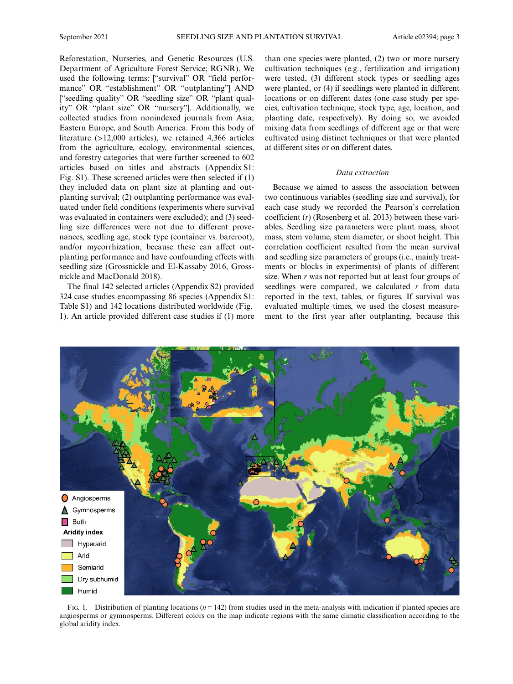Reforestation, Nurseries, and Genetic Resources (U.S. Department of Agriculture Forest Service; RGNR). We used the following terms: ["survival" OR "field performance" OR "establishment" OR "outplanting"] AND ["seedling quality" OR "seedling size" OR "plant quality" OR "plant size" OR "nursery"]. Additionally, we collected studies from nonindexed journals from Asia, Eastern Europe, and South America. From this body of literature (>12,000 articles), we retained 4,366 articles from the agriculture, ecology, environmental sciences, and forestry categories that were further screened to 602 articles based on titles and abstracts (Appendix S1: Fig. S1). These screened articles were then selected if (1) they included data on plant size at planting and outplanting survival; (2) outplanting performance was evaluated under field conditions (experiments where survival was evaluated in containers were excluded); and (3) seedling size differences were not due to different provenances, seedling age, stock type (container vs. bareroot), and/or mycorrhization, because these can affect outplanting performance and have confounding effects with seedling size (Grossnickle and El-Kassaby 2016, Grossnickle and MacDonald 2018).

The final 142 selected articles (Appendix S2) provided 324 case studies encompassing 86 species (Appendix S1: Table S1) and 142 locations distributed worldwide (Fig. 1). An article provided different case studies if (1) more than one species were planted, (2) two or more nursery cultivation techniques (e.g., fertilization and irrigation) were tested, (3) different stock types or seedling ages were planted, or (4) if seedlings were planted in different locations or on different dates (one case study per species, cultivation technique, stock type, age, location, and planting date, respectively). By doing so, we avoided mixing data from seedlings of different age or that were cultivated using distinct techniques or that were planted at different sites or on different dates.

## Data extraction

Because we aimed to assess the association between two continuous variables (seedling size and survival), for each case study we recorded the Pearson's correlation coefficient (r) (Rosenberg et al. 2013) between these variables. Seedling size parameters were plant mass, shoot mass, stem volume, stem diameter, or shoot height. This correlation coefficient resulted from the mean survival and seedling size parameters of groups (i.e., mainly treatments or blocks in experiments) of plants of different size. When  $r$  was not reported but at least four groups of seedlings were compared, we calculated  $r$  from data reported in the text, tables, or figures. If survival was evaluated multiple times, we used the closest measurement to the first year after outplanting, because this



FIG. 1. Distribution of planting locations ( $n = 142$ ) from studies used in the meta-analysis with indication if planted species are angiosperms or gymnosperms. Different colors on the map indicate regions with the same climatic classification according to the global aridity index.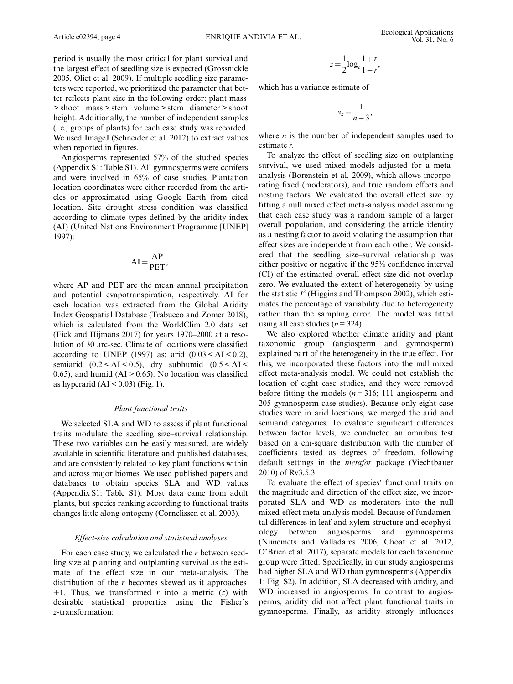period is usually the most critical for plant survival and the largest effect of seedling size is expected (Grossnickle 2005, Oliet et al. 2009). If multiple seedling size parameters were reported, we prioritized the parameter that better reflects plant size in the following order: plant mass > shoot mass > stem volume > stem diameter > shoot height. Additionally, the number of independent samples (i.e., groups of plants) for each case study was recorded. We used ImageJ (Schneider et al. 2012) to extract values when reported in figures.

Angiosperms represented 57% of the studied species (Appendix S1: Table S1). All gymnosperms were conifers and were involved in 65% of case studies. Plantation location coordinates were either recorded from the articles or approximated using Google Earth from cited location. Site drought stress condition was classified according to climate types defined by the aridity index (AI) (United Nations Environment Programme [UNEP] 1997):

$$
AI = \frac{AP}{PET},
$$

where AP and PET are the mean annual precipitation and potential evapotranspiration, respectively. AI for each location was extracted from the Global Aridity Index Geospatial Database (Trabucco and Zomer 2018), which is calculated from the WorldClim 2.0 data set (Fick and Hijmans 2017) for years 1970–2000 at a resolution of 30 arc-sec. Climate of locations were classified according to UNEP (1997) as: arid  $(0.03 < AI < 0.2)$ , semiarid  $(0.2 < AI < 0.5)$ , dry subhumid  $(0.5 < AI <$ 0.65), and humid (AI  $> 0.65$ ). No location was classified as hyperarid  $(AI < 0.03)$  (Fig. 1).

## Plant functional traits

We selected SLA and WD to assess if plant functional traits modulate the seedling size–survival relationship. These two variables can be easily measured, are widely available in scientific literature and published databases, and are consistently related to key plant functions within and across major biomes. We used published papers and databases to obtain species SLA and WD values (Appendix S1: Table S1). Most data came from adult plants, but species ranking according to functional traits changes little along ontogeny (Cornelissen et al. 2003).

## Effect-size calculation and statistical analyses

For each case study, we calculated the r between seedling size at planting and outplanting survival as the estimate of the effect size in our meta-analysis. The distribution of the  $r$  becomes skewed as it approaches  $\pm 1$ . Thus, we transformed r into a metric (z) with desirable statistical properties using the Fisher's z-transformation:

$$
z = \frac{1}{2} \log_e \frac{1+r}{1-r},
$$

which has a variance estimate of

$$
v_z=\frac{1}{n-3},
$$

where  $n$  is the number of independent samples used to estimate r.

To analyze the effect of seedling size on outplanting survival, we used mixed models adjusted for a metaanalysis (Borenstein et al. 2009), which allows incorporating fixed (moderators), and true random effects and nesting factors. We evaluated the overall effect size by fitting a null mixed effect meta-analysis model assuming that each case study was a random sample of a larger overall population, and considering the article identity as a nesting factor to avoid violating the assumption that effect sizes are independent from each other. We considered that the seedling size–survival relationship was either positive or negative if the 95% confidence interval (CI) of the estimated overall effect size did not overlap zero. We evaluated the extent of heterogeneity by using the statistic  $I^2$  (Higgins and Thompson 2002), which estimates the percentage of variability due to heterogeneity rather than the sampling error. The model was fitted using all case studies  $(n= 324)$ .

We also explored whether climate aridity and plant taxonomic group (angiosperm and gymnosperm) explained part of the heterogeneity in the true effect. For this, we incorporated these factors into the null mixed effect meta-analysis model. We could not establish the location of eight case studies, and they were removed before fitting the models  $(n = 316; 111)$  angiosperm and 205 gymnosperm case studies). Because only eight case studies were in arid locations, we merged the arid and semiarid categories. To evaluate significant differences between factor levels, we conducted an omnibus test based on a chi-square distribution with the number of coefficients tested as degrees of freedom, following default settings in the metafor package (Viechtbauer 2010) of Rv3.5.3.

To evaluate the effect of species' functional traits on the magnitude and direction of the effect size, we incorporated SLA and WD as moderators into the null mixed-effect meta-analysis model. Because of fundamental differences in leaf and xylem structure and ecophysiology between angiosperms and gymnosperms (Niinemets and Valladares 2006, Choat et al. 2012, O'Brien et al. 2017), separate models for each taxonomic group were fitted. Specifically, in our study angiosperms had higher SLA and WD than gymnosperms (Appendix 1: Fig. S2). In addition, SLA decreased with aridity, and WD increased in angiosperms. In contrast to angiosperms, aridity did not affect plant functional traits in gymnosperms. Finally, as aridity strongly influences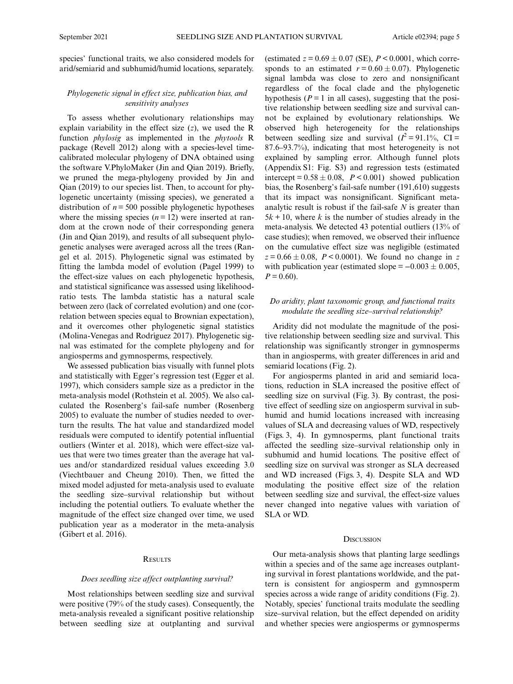species' functional traits, we also considered models for arid/semiarid and subhumid/humid locations, separately.

# Phylogenetic signal in effect size, publication bias, and sensitivity analyses

To assess whether evolutionary relationships may explain variability in the effect size  $(z)$ , we used the R function *phylosig* as implemented in the *phytools* R package (Revell 2012) along with a species-level timecalibrated molecular phylogeny of DNA obtained using the software V.PhyloMaker (Jin and Qian 2019). Briefly, we pruned the mega-phylogeny provided by Jin and Qian (2019) to our species list. Then, to account for phylogenetic uncertainty (missing species), we generated a distribution of  $n = 500$  possible phylogenetic hypotheses where the missing species  $(n = 12)$  were inserted at random at the crown node of their corresponding genera (Jin and Qian 2019), and results of all subsequent phylogenetic analyses were averaged across all the trees (Rangel et al. 2015). Phylogenetic signal was estimated by fitting the lambda model of evolution (Pagel 1999) to the effect-size values on each phylogenetic hypothesis, and statistical significance was assessed using likelihoodratio tests. The lambda statistic has a natural scale between zero (lack of correlated evolution) and one (correlation between species equal to Brownian expectation), and it overcomes other phylogenetic signal statistics (Molina-Venegas and Rodríguez 2017). Phylogenetic signal was estimated for the complete phylogeny and for angiosperms and gymnosperms, respectively.

We assessed publication bias visually with funnel plots and statistically with Egger's regression test (Egger et al. 1997), which considers sample size as a predictor in the meta-analysis model (Rothstein et al. 2005). We also calculated the Rosenberg's fail-safe number (Rosenberg 2005) to evaluate the number of studies needed to overturn the results. The hat value and standardized model residuals were computed to identify potential influential outliers (Winter et al. 2018), which were effect-size values that were two times greater than the average hat values and/or standardized residual values exceeding 3.0 (Viechtbauer and Cheung 2010). Then, we fitted the mixed model adjusted for meta-analysis used to evaluate the seedling size–survival relationship but without including the potential outliers. To evaluate whether the magnitude of the effect size changed over time, we used publication year as a moderator in the meta-analysis (Gibert et al. 2016).

## **RESULTS**

## Does seedling size affect outplanting survival?

Most relationships between seedling size and survival were positive (79% of the study cases). Consequently, the meta-analysis revealed a significant positive relationship between seedling size at outplanting and survival

(estimated  $z = 0.69 \pm 0.07$  (SE),  $P < 0.0001$ , which corresponds to an estimated  $r = 0.60 \pm 0.07$ ). Phylogenetic signal lambda was close to zero and nonsignificant regardless of the focal clade and the phylogenetic hypothesis ( $P = 1$  in all cases), suggesting that the positive relationship between seedling size and survival cannot be explained by evolutionary relationships. We observed high heterogeneity for the relationships between seedling size and survival  $(I^2 = 91.1\%$ , CI = 87.6–93.7%), indicating that most heterogeneity is not explained by sampling error. Although funnel plots (Appendix S1: Fig. S3) and regression tests (estimated intercept =  $0.58 \pm 0.08$ ,  $P < 0.001$ ) showed publication bias, the Rosenberg's fail-safe number (191,610) suggests that its impact was nonsignificant. Significant metaanalytic result is robust if the fail-safe N is greater than  $5k + 10$ , where k is the number of studies already in the meta-analysis. We detected 43 potential outliers (13% of case studies); when removed, we observed their influence on the cumulative effect size was negligible (estimated  $z = 0.66 \pm 0.08$ ,  $P < 0.0001$ ). We found no change in z with publication year (estimated slope =  $-0.003 \pm 0.005$ ,  $P = 0.60$ ).

## Do aridity, plant taxonomic group, and functional traits modulate the seedling size–survival relationship?

Aridity did not modulate the magnitude of the positive relationship between seedling size and survival. This relationship was significantly stronger in gymnosperms than in angiosperms, with greater differences in arid and semiarid locations (Fig. 2).

For angiosperms planted in arid and semiarid locations, reduction in SLA increased the positive effect of seedling size on survival (Fig. 3). By contrast, the positive effect of seedling size on angiosperm survival in subhumid and humid locations increased with increasing values of SLA and decreasing values of WD, respectively (Figs. 3, 4). In gymnosperms, plant functional traits affected the seedling size–survival relationship only in subhumid and humid locations. The positive effect of seedling size on survival was stronger as SLA decreased and WD increased (Figs. 3, 4). Despite SLA and WD modulating the positive effect size of the relation between seedling size and survival, the effect-size values never changed into negative values with variation of SLA or WD.

### **DISCUSSION**

Our meta-analysis shows that planting large seedlings within a species and of the same age increases outplanting survival in forest plantations worldwide, and the pattern is consistent for angiosperm and gymnosperm species across a wide range of aridity conditions (Fig. 2). Notably, species' functional traits modulate the seedling size–survival relation, but the effect depended on aridity and whether species were angiosperms or gymnosperms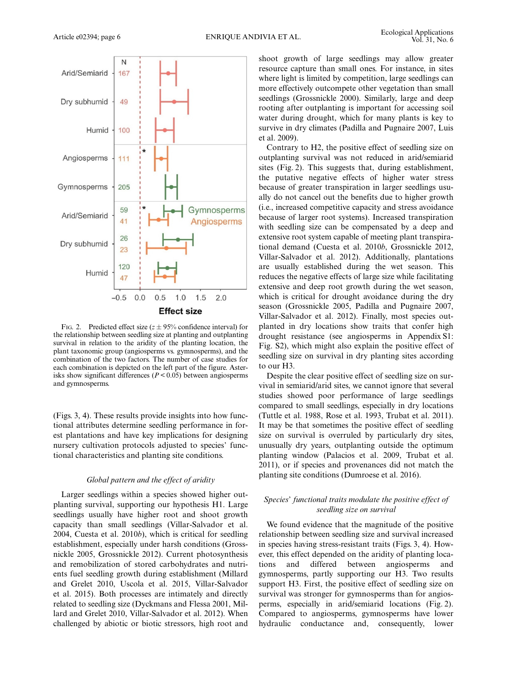

FIG. 2. Predicted effect size ( $z \pm 95\%$  confidence interval) for the relationship between seedling size at planting and outplanting survival in relation to the aridity of the planting location, the plant taxonomic group (angiosperms vs. gymnosperms), and the combination of the two factors. The number of case studies for each combination is depicted on the left part of the figure. Asterisks show significant differences ( $P < 0.05$ ) between angiosperms and gymnosperms.

(Figs. 3, 4). These results provide insights into how functional attributes determine seedling performance in forest plantations and have key implications for designing nursery cultivation protocols adjusted to species' functional characteristics and planting site conditions.

## Global pattern and the effect of aridity

Larger seedlings within a species showed higher outplanting survival, supporting our hypothesis H1. Large seedlings usually have higher root and shoot growth capacity than small seedlings (Villar-Salvador et al. 2004, Cuesta et al. 2010b), which is critical for seedling establishment, especially under harsh conditions (Grossnickle 2005, Grossnickle 2012). Current photosynthesis and remobilization of stored carbohydrates and nutrients fuel seedling growth during establishment (Millard and Grelet 2010, Uscola et al. 2015, Villar-Salvador et al. 2015). Both processes are intimately and directly related to seedling size (Dyckmans and Flessa 2001, Millard and Grelet 2010, Villar-Salvador et al. 2012). When challenged by abiotic or biotic stressors, high root and

shoot growth of large seedlings may allow greater resource capture than small ones. For instance, in sites where light is limited by competition, large seedlings can more effectively outcompete other vegetation than small seedlings (Grossnickle 2000). Similarly, large and deep rooting after outplanting is important for accessing soil water during drought, which for many plants is key to survive in dry climates (Padilla and Pugnaire 2007, Luis et al. 2009).

Contrary to H2, the positive effect of seedling size on outplanting survival was not reduced in arid/semiarid sites (Fig. 2). This suggests that, during establishment, the putative negative effects of higher water stress because of greater transpiration in larger seedlings usually do not cancel out the benefits due to higher growth (i.e., increased competitive capacity and stress avoidance because of larger root systems). Increased transpiration with seedling size can be compensated by a deep and extensive root system capable of meeting plant transpirational demand (Cuesta et al. 2010b, Grossnickle 2012, Villar-Salvador et al. 2012). Additionally, plantations are usually established during the wet season. This reduces the negative effects of large size while facilitating extensive and deep root growth during the wet season, which is critical for drought avoidance during the dry season (Grossnickle 2005, Padilla and Pugnaire 2007, Villar-Salvador et al. 2012). Finally, most species outplanted in dry locations show traits that confer high drought resistance (see angiosperms in Appendix S1: Fig. S2), which might also explain the positive effect of seedling size on survival in dry planting sites according to our H3.

Despite the clear positive effect of seedling size on survival in semiarid/arid sites, we cannot ignore that several studies showed poor performance of large seedlings compared to small seedlings, especially in dry locations (Tuttle et al. 1988, Rose et al. 1993, Trubat et al. 2011). It may be that sometimes the positive effect of seedling size on survival is overruled by particularly dry sites, unusually dry years, outplanting outside the optimum planting window (Palacios et al. 2009, Trubat et al. 2011), or if species and provenances did not match the planting site conditions (Dumroese et al. 2016).

# Species' functional traits modulate the positive effect of seedling size on survival

We found evidence that the magnitude of the positive relationship between seedling size and survival increased in species having stress-resistant traits (Figs. 3, 4). However, this effect depended on the aridity of planting locations and differed between angiosperms and gymnosperms, partly supporting our H3. Two results support H3. First, the positive effect of seedling size on survival was stronger for gymnosperms than for angiosperms, especially in arid/semiarid locations (Fig. 2). Compared to angiosperms, gymnosperms have lower hydraulic conductance and, consequently, lower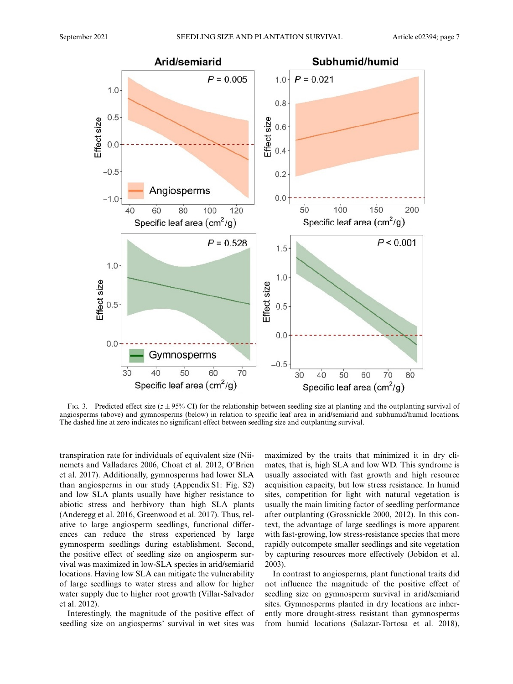

FIG. 3. Predicted effect size  $(z \pm 95\% \text{ C}I)$  for the relationship between seedling size at planting and the outplanting survival of angiosperms (above) and gymnosperms (below) in relation to specific leaf area in arid/semiarid and subhumid/humid locations. The dashed line at zero indicates no significant effect between seedling size and outplanting survival.

transpiration rate for individuals of equivalent size (Niinemets and Valladares 2006, Choat et al. 2012, O'Brien et al. 2017). Additionally, gymnosperms had lower SLA than angiosperms in our study (Appendix S1: Fig. S2) and low SLA plants usually have higher resistance to abiotic stress and herbivory than high SLA plants (Anderegg et al. 2016, Greenwood et al. 2017). Thus, relative to large angiosperm seedlings, functional differences can reduce the stress experienced by large gymnosperm seedlings during establishment. Second, the positive effect of seedling size on angiosperm survival was maximized in low-SLA species in arid/semiarid locations. Having low SLA can mitigate the vulnerability of large seedlings to water stress and allow for higher water supply due to higher root growth (Villar-Salvador et al. 2012).

Interestingly, the magnitude of the positive effect of seedling size on angiosperms' survival in wet sites was maximized by the traits that minimized it in dry climates, that is, high SLA and low WD. This syndrome is usually associated with fast growth and high resource acquisition capacity, but low stress resistance. In humid sites, competition for light with natural vegetation is usually the main limiting factor of seedling performance after outplanting (Grossnickle 2000, 2012). In this context, the advantage of large seedlings is more apparent with fast-growing, low stress-resistance species that more rapidly outcompete smaller seedlings and site vegetation by capturing resources more effectively (Jobidon et al. 2003).

In contrast to angiosperms, plant functional traits did not influence the magnitude of the positive effect of seedling size on gymnosperm survival in arid/semiarid sites. Gymnosperms planted in dry locations are inherently more drought-stress resistant than gymnosperms from humid locations (Salazar-Tortosa et al. 2018),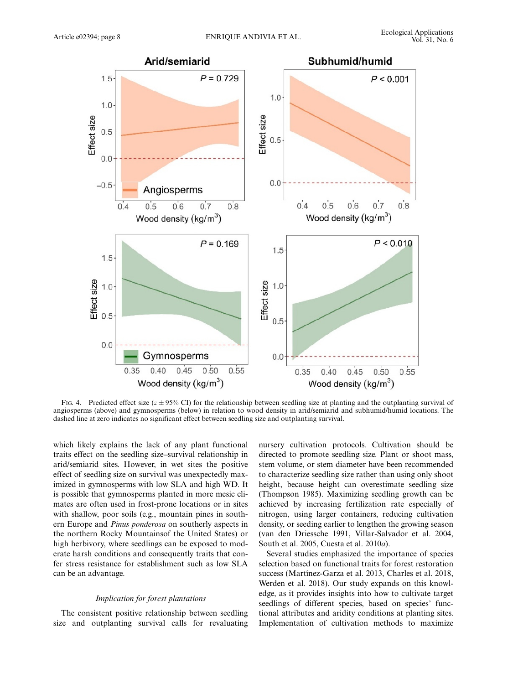

FIG. 4. Predicted effect size  $(z \pm 95\% \text{ CI})$  for the relationship between seedling size at planting and the outplanting survival of angiosperms (above) and gymnosperms (below) in relation to wood density in arid/semiarid and subhumid/humid locations. The dashed line at zero indicates no significant effect between seedling size and outplanting survival.

which likely explains the lack of any plant functional traits effect on the seedling size–survival relationship in arid/semiarid sites. However, in wet sites the positive effect of seedling size on survival was unexpectedly maximized in gymnosperms with low SLA and high WD. It is possible that gymnosperms planted in more mesic climates are often used in frost-prone locations or in sites with shallow, poor soils (e.g., mountain pines in southern Europe and Pinus ponderosa on southerly aspects in the northern Rocky Mountainsof the United States) or high herbivory, where seedlings can be exposed to moderate harsh conditions and consequently traits that confer stress resistance for establishment such as low SLA can be an advantage.

# Implication for forest plantations

The consistent positive relationship between seedling size and outplanting survival calls for revaluating nursery cultivation protocols. Cultivation should be directed to promote seedling size. Plant or shoot mass, stem volume, or stem diameter have been recommended to characterize seedling size rather than using only shoot height, because height can overestimate seedling size (Thompson 1985). Maximizing seedling growth can be achieved by increasing fertilization rate especially of nitrogen, using larger containers, reducing cultivation density, or seeding earlier to lengthen the growing season (van den Driessche 1991, Villar-Salvador et al. 2004, South et al. 2005, Cuesta et al. 2010a).

Several studies emphasized the importance of species selection based on functional traits for forest restoration success (Martínez-Garza et al. 2013, Charles et al. 2018, Werden et al. 2018). Our study expands on this knowledge, as it provides insights into how to cultivate target seedlings of different species, based on species' functional attributes and aridity conditions at planting sites. Implementation of cultivation methods to maximize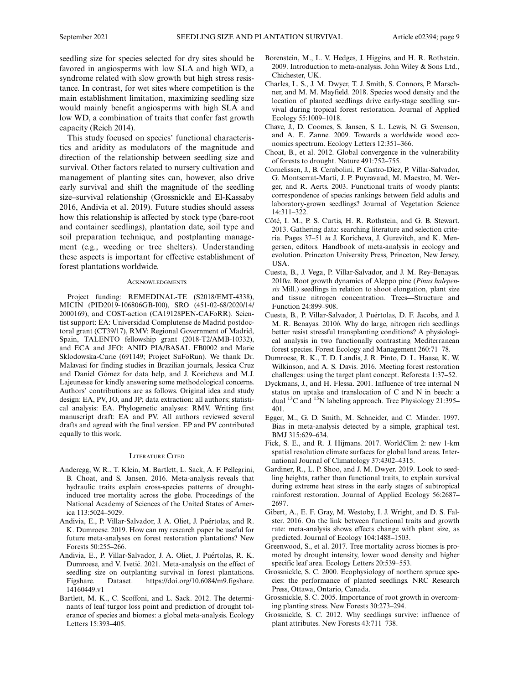seedling size for species selected for dry sites should be favored in angiosperms with low SLA and high WD, a syndrome related with slow growth but high stress resistance. In contrast, for wet sites where competition is the main establishment limitation, maximizing seedling size would mainly benefit angiosperms with high SLA and low WD, a combination of traits that confer fast growth capacity (Reich 2014).

This study focused on species' functional characteristics and aridity as modulators of the magnitude and direction of the relationship between seedling size and survival. Other factors related to nursery cultivation and management of planting sites can, however, also drive early survival and shift the magnitude of the seedling size–survival relationship (Grossnickle and El-Kassaby 2016, Andivia et al. 2019). Future studies should assess how this relationship is affected by stock type (bare-root and container seedlings), plantation date, soil type and soil preparation technique, and postplanting management (e.g., weeding or tree shelters). Understanding these aspects is important for effective establishment of forest plantations worldwide.

#### **ACKNOWLEDGMENTS**

Project funding: REMEDINAL-TE (S2018/EMT-4338), MICIN (PID2019-106806GB-I00), SRO (451-02-68/2020/14/ 2000169), and COST-action (CA19128PEN-CAFoRR). Scientist support: EA: Universidad Complutense de Madrid postdoctoral grant (CT39/17), RMV: Regional Government of Madrid, Spain, TALENTO fellowship grant (2018-T2/AMB-10332), and ECA and JFO: ANID PIA/BASAL FB0002 and Marie Sklodowska-Curie (691149; Project SuFoRun). We thank Dr. Malavasi for finding studies in Brazilian journals, Jessica Cruz and Daniel Gómez for data help, and J. Koricheva and M.J. Lajeunesse for kindly answering some methodological concerns. Authors' contributions are as follows. Original idea and study design: EA, PV, JO, and JP; data extraction: all authors; statistical analysis: EA. Phylogenetic analyses: RMV. Writing first manuscript draft: EA and PV. All authors reviewed several drafts and agreed with the final version. EP and PV contributed equally to this work.

### LITERATURE CITED

- Anderegg, W. R., T. Klein, M. Bartlett, L. Sack, A. F. Pellegrini, B. Choat, and S. Jansen. 2016. Meta-analysis reveals that hydraulic traits explain cross-species patterns of droughtinduced tree mortality across the globe. Proceedings of the National Academy of Sciences of the United States of America 113:5024–5029.
- Andivia, E., P. Villar-Salvador, J. A. Oliet, J. Puértolas, and R. K. Dumroese. 2019. How can my research paper be useful for future meta-analyses on forest restoration plantations? New Forests 50:255–266.
- Andivia, E., P. Villar-Salvador, J. A. Oliet, J. Puértolas, R. K. Dumroese, and V. Ivetić. 2021. Meta-analysis on the effect of seedling size on outplanting survival in forest plantations. Figshare. Dataset. [https://doi.org/10.6084/m9.figshare.](https://doi.org/10.6084/m9.figshare.14160449.v1) [14160449.v1](https://doi.org/10.6084/m9.figshare.14160449.v1)
- Bartlett, M. K., C. Scoffoni, and L. Sack. 2012. The determinants of leaf turgor loss point and prediction of drought tolerance of species and biomes: a global meta-analysis. Ecology Letters 15:393–405.
- Borenstein, M., L. V. Hedges, J. Higgins, and H. R. Rothstein. 2009. Introduction to meta-analysis. John Wiley & Sons Ltd., Chichester, UK.
- Charles, L. S., J. M. Dwyer, T. J. Smith, S. Connors, P. Marschner, and M. M. Mayfield. 2018. Species wood density and the location of planted seedlings drive early-stage seedling survival during tropical forest restoration. Journal of Applied Ecology 55:1009–1018.
- Chave, J., D. Coomes, S. Jansen, S. L. Lewis, N. G. Swenson, and A. E. Zanne. 2009. Towards a worldwide wood economics spectrum. Ecology Letters 12:351–366.
- Choat, B., et al. 2012. Global convergence in the vulnerability of forests to drought. Nature 491:752–755.
- Cornelissen, J., B. Cerabolini, P. Castro-Díez, P. Villar-Salvador, G. Montserrat-Martí, J. P. Puyravaud, M. Maestro, M. Werger, and R. Aerts. 2003. Functional traits of woody plants: correspondence of species rankings between field adults and laboratory-grown seedlings? Journal of Vegetation Science 14:311–322.
- Côté, I. M., P. S. Curtis, H. R. Rothstein, and G. B. Stewart. 2013. Gathering data: searching literature and selection criteria. Pages 37–51 in J. Koricheva, J. Gurevitch, and K. Mengersen, editors. Handbook of meta-analysis in ecology and evolution. Princeton University Press, Princeton, New Jersey, USA.
- Cuesta, B., J. Vega, P. Villar-Salvador, and J. M. Rey-Benayas. 2010a. Root growth dynamics of Aleppo pine (Pinus halepensis Mill.) seedlings in relation to shoot elongation, plant size and tissue nitrogen concentration. Trees—Structure and Function 24:899–908.
- Cuesta, B., P. Villar-Salvador, J. Puértolas, D. F. Jacobs, and J. M. R. Benayas. 2010b. Why do large, nitrogen rich seedlings better resist stressful transplanting conditions? A physiological analysis in two functionally contrasting Mediterranean forest species. Forest Ecology and Management 260:71–78.
- Dumroese, R. K., T. D. Landis, J. R. Pinto, D. L. Haase, K. W. Wilkinson, and A. S. Davis. 2016. Meeting forest restoration challenges: using the target plant concept. Reforesta 1:37–52.
- Dyckmans, J., and H. Flessa. 2001. Influence of tree internal N status on uptake and translocation of C and N in beech: a dual <sup>13</sup>C and <sup>15</sup>N labeling approach. Tree Physiology 21:395– 401.
- Egger, M., G. D. Smith, M. Schneider, and C. Minder. 1997. Bias in meta-analysis detected by a simple, graphical test. BMJ 315:629–634.
- Fick, S. E., and R. J. Hijmans. 2017. WorldClim 2: new 1-km spatial resolution climate surfaces for global land areas. International Journal of Climatology 37:4302–4315.
- Gardiner, R., L. P. Shoo, and J. M. Dwyer. 2019. Look to seedling heights, rather than functional traits, to explain survival during extreme heat stress in the early stages of subtropical rainforest restoration. Journal of Applied Ecology 56:2687– 2697.
- Gibert, A., E. F. Gray, M. Westoby, I. J. Wright, and D. S. Falster. 2016. On the link between functional traits and growth rate: meta-analysis shows effects change with plant size, as predicted. Journal of Ecology 104:1488–1503.
- Greenwood, S., et al. 2017. Tree mortality across biomes is promoted by drought intensity, lower wood density and higher specific leaf area. Ecology Letters 20:539–553.
- Grossnickle, S. C. 2000. Ecophysiology of northern spruce species: the performance of planted seedlings. NRC Research Press, Ottawa, Ontario, Canada.
- Grossnickle, S. C. 2005. Importance of root growth in overcoming planting stress. New Forests 30:273–294.
- Grossnickle, S. C. 2012. Why seedlings survive: influence of plant attributes. New Forests 43:711–738.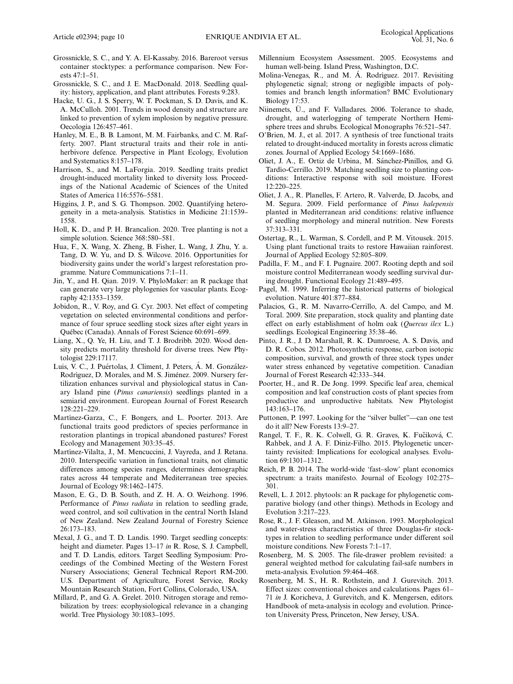- Grossnickle, S. C., and Y. A. El-Kassaby. 2016. Bareroot versus container stocktypes: a performance comparison. New Forests 47:1–51.
- Grossnickle, S. C., and J. E. MacDonald. 2018. Seedling quality: history, application, and plant attributes. Forests 9:283.
- Hacke, U. G., J. S. Sperry, W. T. Pockman, S. D. Davis, and K. A. McCulloh. 2001. Trends in wood density and structure are linked to prevention of xylem implosion by negative pressure. Oecologia 126:457–461.
- Hanley, M. E., B. B. Lamont, M. M. Fairbanks, and C. M. Rafferty. 2007. Plant structural traits and their role in antiherbivore defence. Perspective in Plant Ecology, Evolution and Systematics 8:157–178.
- Harrison, S., and M. LaForgia. 2019. Seedling traits predict drought-induced mortality linked to diversity loss. Proceedings of the National Academic of Sciences of the United States of America 116:5576–5581.
- Higgins, J. P., and S. G. Thompson. 2002. Quantifying heterogeneity in a meta-analysis. Statistics in Medicine 21:1539– 1558.
- Holl, K. D., and P. H. Brancalion. 2020. Tree planting is not a simple solution. Science 368:580–581.
- Hua, F., X. Wang, X. Zheng, B. Fisher, L. Wang, J. Zhu, Y. a. Tang, D. W. Yu, and D. S. Wilcove. 2016. Opportunities for biodiversity gains under the world's largest reforestation programme. Nature Communications 7:1–11.
- Jin, Y., and H. Qian. 2019. V. PhyloMaker: an R package that can generate very large phylogenies for vascular plants. Ecography 42:1353–1359.
- Jobidon, R., V. Roy, and G. Cyr. 2003. Net effect of competing vegetation on selected environmental conditions and performance of four spruce seedling stock sizes after eight years in Québec (Canada). Annals of Forest Science 60:691-699.
- Liang, X., Q. Ye, H. Liu, and T. J. Brodribb. 2020. Wood density predicts mortality threshold for diverse trees. New Phytologist 229:17117.
- Luis, V. C., J. Puértolas, J. Climent, J. Peters, Á. M. González-Rodríguez, D. Morales, and M. S. Jiménez. 2009. Nursery fertilization enhances survival and physiological status in Canary Island pine (Pinus canariensis) seedlings planted in a semiarid environment. European Journal of Forest Research 128:221–229.
- Martínez-Garza, C., F. Bongers, and L. Poorter. 2013. Are functional traits good predictors of species performance in restoration plantings in tropical abandoned pastures? Forest Ecology and Management 303:35–45.
- Martínez-Vilalta, J., M. Mencuccini, J. Vayreda, and J. Retana. 2010. Interspecific variation in functional traits, not climatic differences among species ranges, determines demographic rates across 44 temperate and Mediterranean tree species. Journal of Ecology 98:1462–1475.
- Mason, E. G., D. B. South, and Z. H. A. O. Weizhong. 1996. Performance of Pinus radiata in relation to seedling grade, weed control, and soil cultivation in the central North Island of New Zealand. New Zealand Journal of Forestry Science 26:173–183.
- Mexal, J. G., and T. D. Landis. 1990. Target seedling concepts: height and diameter. Pages 13–17 in R. Rose, S. J. Campbell, and T. D. Landis, editors. Target Seedling Symposium: Proceedings of the Combined Meeting of the Western Forest Nursery Associations; General Technical Report RM-200. U.S. Department of Agriculture, Forest Service, Rocky Mountain Research Station, Fort Collins, Colorado, USA.
- Millard, P., and G. A. Grelet. 2010. Nitrogen storage and remobilization by trees: ecophysiological relevance in a changing world. Tree Physiology 30:1083–1095.
- Millennium Ecosystem Assessment. 2005. Ecosystems and human well-being. Island Press, Washington, D.C.
- Molina-Venegas, R., and M. A. Rodríguez. 2017. Revisiting phylogenetic signal; strong or negligible impacts of polytomies and branch length information? BMC Evolutionary Biology 17:53.
- Niinemets, Ü., and F. Valladares. 2006. Tolerance to shade, drought, and waterlogging of temperate Northern Hemisphere trees and shrubs. Ecological Monographs 76:521–547.
- O'Brien, M. J., et al. 2017. A synthesis of tree functional traits related to drought-induced mortality in forests across climatic zones. Journal of Applied Ecology 54:1669–1686.
- Oliet, J. A., E. Ortiz de Urbina, M. Sánchez-Pinillos, and G. Tardío-Cerrillo. 2019. Matching seedling size to planting conditions: Interactive response with soil moisture. IForest 12:220–225.
- Oliet, J. A., R. Planelles, F. Artero, R. Valverde, D. Jacobs, and M. Segura. 2009. Field performance of Pinus halepensis planted in Mediterranean arid conditions: relative influence of seedling morphology and mineral nutrition. New Forests 37:313–331.
- Ostertag, R., L. Warman, S. Cordell, and P. M. Vitousek. 2015. Using plant functional traits to restore Hawaiian rainforest. Journal of Applied Ecology 52:805–809.
- Padilla, F. M., and F. I. Pugnaire. 2007. Rooting depth and soil moisture control Mediterranean woody seedling survival during drought. Functional Ecology 21:489–495.
- Pagel, M. 1999. Inferring the historical patterns of biological evolution. Nature 401:877–884.
- Palacios, G., R. M. Navarro-Cerrillo, A. del Campo, and M. Toral. 2009. Site preparation, stock quality and planting date effect on early establishment of holm oak (Quercus ilex L.) seedlings. Ecological Engineering 35:38–46.
- Pinto, J. R., J. D. Marshall, R. K. Dumroese, A. S. Davis, and D. R. Cobos. 2012. Photosynthetic response, carbon isotopic composition, survival, and growth of three stock types under water stress enhanced by vegetative competition. Canadian Journal of Forest Research 42:333–344.
- Poorter, H., and R. De Jong. 1999. Specific leaf area, chemical composition and leaf construction costs of plant species from productive and unproductive habitats. New Phytologist 143:163–176.
- Puttonen, P. 1997. Looking for the "silver bullet"—can one test do it all? New Forests 13:9–27.
- Rangel, T. F., R. K. Colwell, G. R. Graves, K. Fučíková, C. Rahbek, and J. A. F. Diniz-Filho. 2015. Phylogenetic uncertainty revisited: Implications for ecological analyses. Evolution 69:1301–1312.
- Reich, P. B. 2014. The world-wide 'fast–slow' plant economics spectrum: a traits manifesto. Journal of Ecology 102:275– 301.
- Revell, L. J. 2012. phytools: an R package for phylogenetic comparative biology (and other things). Methods in Ecology and Evolution 3:217–223.
- Rose, R., J. F. Gleason, and M. Atkinson. 1993. Morphological and water-stress characteristics of three Douglas-fir stocktypes in relation to seedling performance under different soil moisture conditions. New Forests 7:1–17.
- Rosenberg, M. S. 2005. The file-drawer problem revisited: a general weighted method for calculating fail-safe numbers in meta-analysis. Evolution 59:464–468.
- Rosenberg, M. S., H. R. Rothstein, and J. Gurevitch. 2013. Effect sizes: conventional choices and calculations. Pages 61– 71 in J. Koricheva, J. Gurevitch, and K. Mengersen, editors. Handbook of meta-analysis in ecology and evolution. Princeton University Press, Princeton, New Jersey, USA.